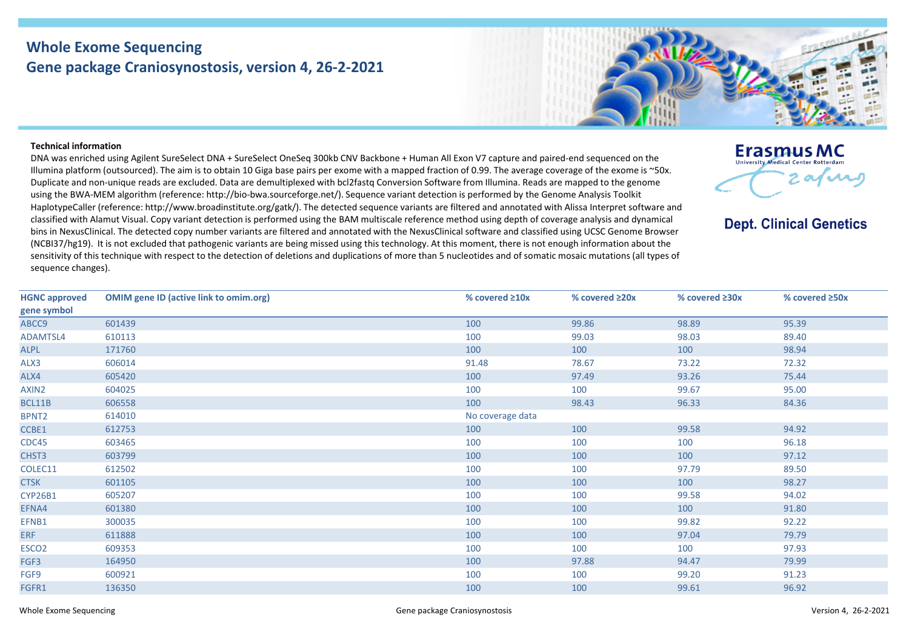## **Whole Exome Sequencing Gene package Craniosynostosis, version 4, 26-2-2021**

## **Erasmus MC**

**University Medical Center Pott** 

**Dept. Clinical Genetics** 

 $2$  afray

## **Technical information**

DNA was enriched using Agilent SureSelect DNA + SureSelect OneSeq 300kb CNV Backbone + Human All Exon V7 capture and paired-end sequenced on the Illumina platform (outsourced). The aim is to obtain 10 Giga base pairs per exome with a mapped fraction of 0.99. The average coverage of the exome is ~50x. Duplicate and non-unique reads are excluded. Data are demultiplexed with bcl2fastq Conversion Software from Illumina. Reads are mapped to the genome using the BWA-MEM algorithm (reference: http://bio-bwa.sourceforge.net/). Sequence variant detection is performed by the Genome Analysis Toolkit HaplotypeCaller (reference: http://www.broadinstitute.org/gatk/). The detected sequence variants are filtered and annotated with Alissa Interpret software and classified with Alamut Visual. Copy variant detection is performed using the BAM multiscale reference method using depth of coverage analysis and dynamical bins in NexusClinical. The detected copy number variants are filtered and annotated with the NexusClinical software and classified using UCSC Genome Browser (NCBI37/hg19). It is not excluded that pathogenic variants are being missed using this technology. At this moment, there is not enough information about the sensitivity of this technique with respect to the detection of deletions and duplications of more than 5 nucleotides and of somatic mosaic mutations (all types of sequence changes).

| <b>HGNC approved</b><br>gene symbol | <b>OMIM gene ID (active link to omim.org)</b> | % covered $\geq 10x$ | % covered ≥20x | % covered $\geq 30x$ | % covered ≥50x |
|-------------------------------------|-----------------------------------------------|----------------------|----------------|----------------------|----------------|
| ABCC9                               | 601439                                        | 100                  | 99.86          | 98.89                | 95.39          |
| ADAMTSL4                            | 610113                                        | 100                  | 99.03          | 98.03                | 89.40          |
| <b>ALPL</b>                         | 171760                                        | 100                  | 100            | 100                  | 98.94          |
| ALX3                                | 606014                                        | 91.48                | 78.67          | 73.22                | 72.32          |
| ALX4                                | 605420                                        | 100                  | 97.49          | 93.26                | 75.44          |
| AXIN2                               | 604025                                        | 100                  | 100            | 99.67                | 95.00          |
| BCL11B                              | 606558                                        | 100                  | 98.43          | 96.33                | 84.36          |
| BPNT2                               | 614010                                        | No coverage data     |                |                      |                |
| CCBE1                               | 612753                                        | 100                  | 100            | 99.58                | 94.92          |
| CDC45                               | 603465                                        | 100                  | 100            | 100                  | 96.18          |
| CHST3                               | 603799                                        | 100                  | 100            | 100                  | 97.12          |
| COLEC11                             | 612502                                        | 100                  | 100            | 97.79                | 89.50          |
| <b>CTSK</b>                         | 601105                                        | 100                  | 100            | 100                  | 98.27          |
| CYP26B1                             | 605207                                        | 100                  | 100            | 99.58                | 94.02          |
| EFNA4                               | 601380                                        | 100                  | 100            | 100                  | 91.80          |
| EFNB1                               | 300035                                        | 100                  | 100            | 99.82                | 92.22          |
| <b>ERF</b>                          | 611888                                        | 100                  | 100            | 97.04                | 79.79          |
| ESCO <sub>2</sub>                   | 609353                                        | 100                  | 100            | 100                  | 97.93          |
| FGF3                                | 164950                                        | 100                  | 97.88          | 94.47                | 79.99          |
| FGF9                                | 600921                                        | 100                  | 100            | 99.20                | 91.23          |
| FGFR1                               | 136350                                        | 100                  | 100            | 99.61                | 96.92          |
|                                     |                                               |                      |                |                      |                |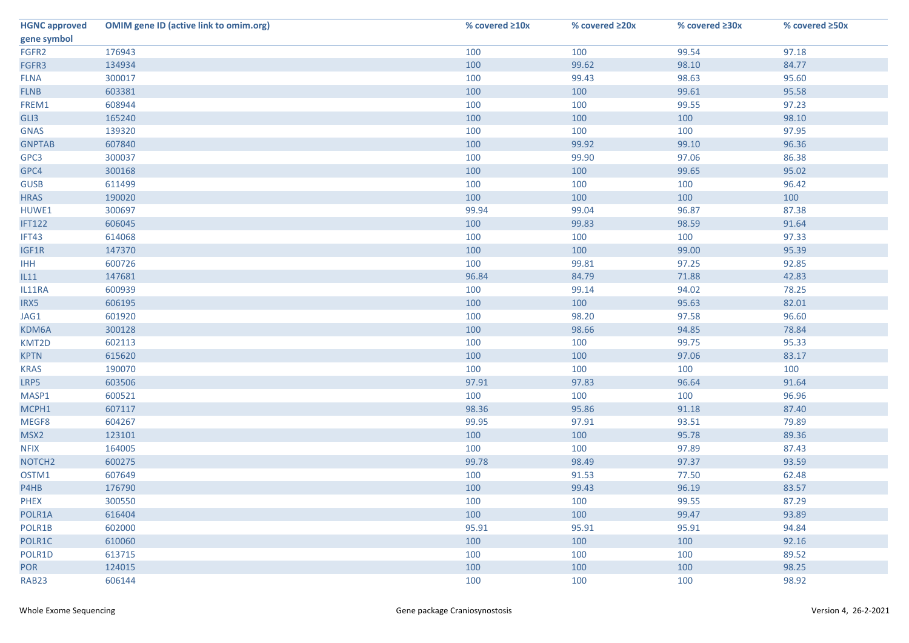| <b>HGNC approved</b> | <b>OMIM gene ID (active link to omim.org)</b> | % covered ≥10x | % covered ≥20x | % covered ≥30x | % covered ≥50x |
|----------------------|-----------------------------------------------|----------------|----------------|----------------|----------------|
| gene symbol          |                                               |                |                |                |                |
| FGFR2                | 176943                                        | 100            | 100            | 99.54          | 97.18          |
| FGFR3                | 134934                                        | 100            | 99.62          | 98.10          | 84.77          |
| <b>FLNA</b>          | 300017                                        | 100            | 99.43          | 98.63          | 95.60          |
| <b>FLNB</b>          | 603381                                        | 100            | 100            | 99.61          | 95.58          |
| FREM1                | 608944                                        | 100            | 100            | 99.55          | 97.23          |
| GLI3                 | 165240                                        | 100            | 100            | 100            | 98.10          |
| <b>GNAS</b>          | 139320                                        | 100            | 100            | 100            | 97.95          |
| <b>GNPTAB</b>        | 607840                                        | 100            | 99.92          | 99.10          | 96.36          |
| GPC3                 | 300037                                        | 100            | 99.90          | 97.06          | 86.38          |
| GPC4                 | 300168                                        | 100            | 100            | 99.65          | 95.02          |
| <b>GUSB</b>          | 611499                                        | 100            | 100            | 100            | 96.42          |
| <b>HRAS</b>          | 190020                                        | 100            | 100            | 100            | 100            |
| HUWE1                | 300697                                        | 99.94          | 99.04          | 96.87          | 87.38          |
| <b>IFT122</b>        | 606045                                        | 100            | 99.83          | 98.59          | 91.64          |
| IFT43                | 614068                                        | 100            | 100            | 100            | 97.33          |
| IGF1R                | 147370                                        | 100            | 100            | 99.00          | 95.39          |
| <b>IHH</b>           | 600726                                        | 100            | 99.81          | 97.25          | 92.85          |
| IL11                 | 147681                                        | 96.84          | 84.79          | 71.88          | 42.83          |
| IL11RA               | 600939                                        | 100            | 99.14          | 94.02          | 78.25          |
| IRX5                 | 606195                                        | 100            | 100            | 95.63          | 82.01          |
| JAG1                 | 601920                                        | 100            | 98.20          | 97.58          | 96.60          |
| KDM6A                | 300128                                        | 100            | 98.66          | 94.85          | 78.84          |
| KMT2D                | 602113                                        | 100            | 100            | 99.75          | 95.33          |
| <b>KPTN</b>          | 615620                                        | 100            | 100            | 97.06          | 83.17          |
| <b>KRAS</b>          | 190070                                        | 100            | 100            | 100            | 100            |
| LRP5                 | 603506                                        | 97.91          | 97.83          | 96.64          | 91.64          |
| MASP1                | 600521                                        | 100            | 100            | 100            | 96.96          |
| MCPH1                | 607117                                        | 98.36          | 95.86          | 91.18          | 87.40          |
| MEGF8                | 604267                                        | 99.95          | 97.91          | 93.51          | 79.89          |
| MSX2                 | 123101                                        | 100            | 100            | 95.78          | 89.36          |
| <b>NFIX</b>          | 164005                                        | 100            | 100            | 97.89          | 87.43          |
| NOTCH <sub>2</sub>   | 600275                                        | 99.78          | 98.49          | 97.37          | 93.59          |
| OSTM1                | 607649                                        | 100            | 91.53          | 77.50          | 62.48          |
| P4HB                 | 176790                                        | 100            | 99.43          | 96.19          | 83.57          |
| <b>PHEX</b>          | 300550                                        | 100            | 100            | 99.55          | 87.29          |
| POLR1A               | 616404                                        | 100            | 100            | 99.47          | 93.89          |
| POLR1B               | 602000                                        | 95.91          | 95.91          | 95.91          | 94.84          |
| POLR1C               | 610060                                        | 100            | 100            | 100            | 92.16          |
| POLR1D               | 613715                                        | 100            | 100            | 100            | 89.52          |
| <b>POR</b>           | 124015                                        | 100            | 100            | 100            | 98.25          |
| RAB <sub>23</sub>    | 606144                                        | 100            | 100            | 100            | 98.92          |